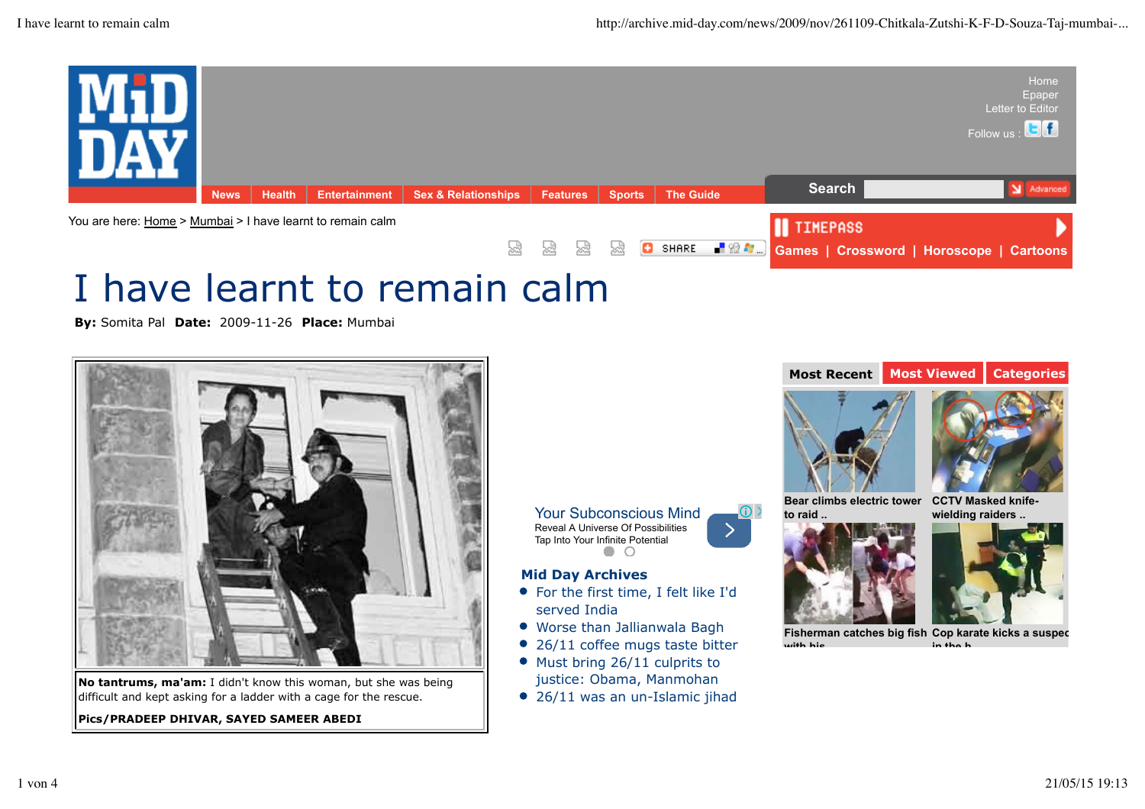

# I have learnt to remain calm

**By:** Somita Pal **Date:** 2009-11-26 **Place:** Mumbai



**No tantrums, ma'am:** I didn't know this woman, but she was being difficult and kept asking for a ladder with a cage for the rescue.

**Pics/PRADEEP DHIVAR, SAYED SAMEER ABEDI**

Your Subconscious Mind Reveal A Universe Of Possibilities ╭ Tap Into Your Infinite Potential

### **Mid Day Archives**

- For the first time, I felt like I'd served India
- Worse than Jallianwala Bagh
- $\bullet$ 26/11 coffee mugs taste bitter
- Must bring 26/11 culprits to justice: Obama, Manmohan
- 26/11 was an un-Islamic jihad



**Fisherman catches big fish Cop karate kicks a suspect with his.. in the h..**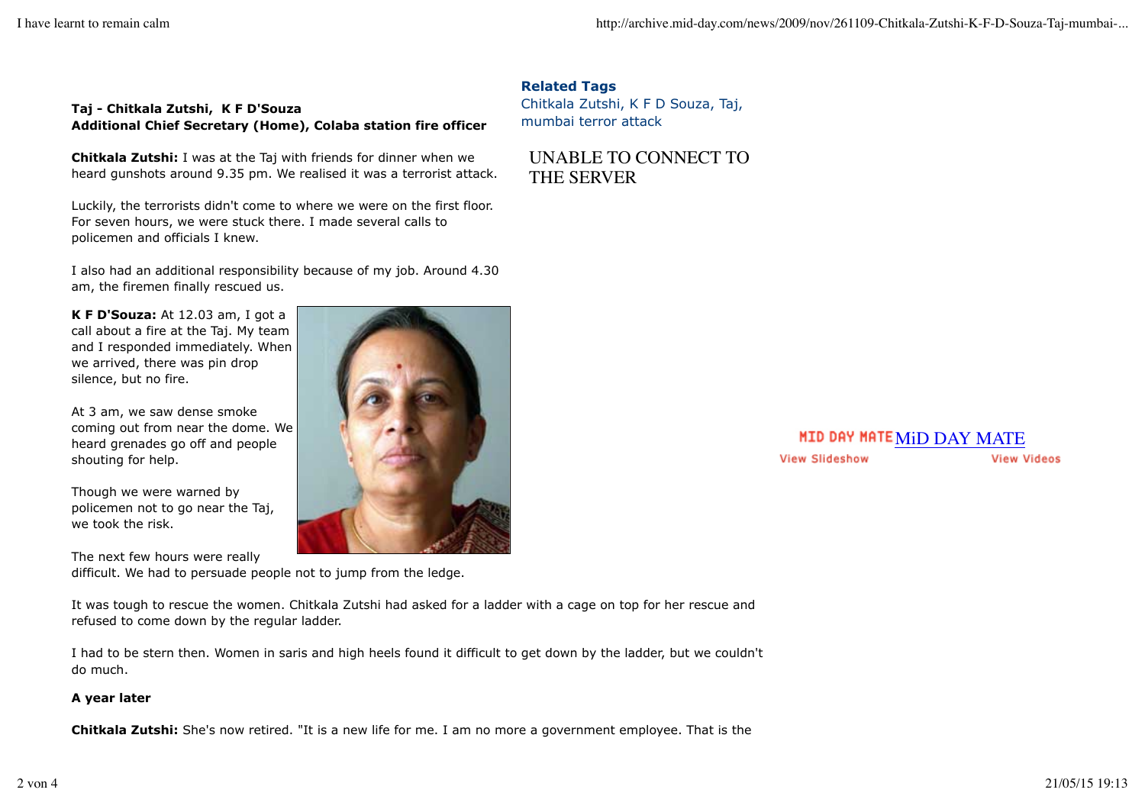#### **Taj - Chitkala Zutshi, K F D'Souza Additional Chief Secretary (Home), Colaba station fire officer**

**Chitkala Zutshi:** I was at the Taj with friends for dinner when we heard gunshots around 9.35 pm. We realised it was a terrorist attack.

Luckily, the terrorists didn't come to where we were on the first floor. For seven hours, we were stuck there. I made several calls to policemen and officials I knew.

I also had an additional responsibility because of my job. Around 4.30 am, the firemen finally rescued us.

**K F D'Souza:** At 12.03 am, I got a call about a fire at the Taj. My team and I responded immediately. When we arrived, there was pin drop silence, but no fire.

At 3 am, we saw dense smoke coming out from near the dome. We heard grenades go off and people shouting for help.

Though we were warned by policemen not to go near the Taj, we took the risk.

The next few hours were really difficult. We had to persuade people not to jump from the ledge.

It was tough to rescue the women. Chitkala Zutshi had asked for a ladder with a cage on top for her rescue and refused to come down by the regular ladder.

I had to be stern then. Women in saris and high heels found it difficult to get down by the ladder, but we couldn't do much.

#### **A year later**

**Chitkala Zutshi:** She's now retired. "It is a new life for me. I am no more a government employee. That is the



**Related Tags** Chitkala Zutshi, K F D Souza, Taj, mumbai terror attack

UNABLE TO CONNECT TO THE SERVER

#### **MID DAY MATE MiD DAY MATE View Slideshow View Videos**